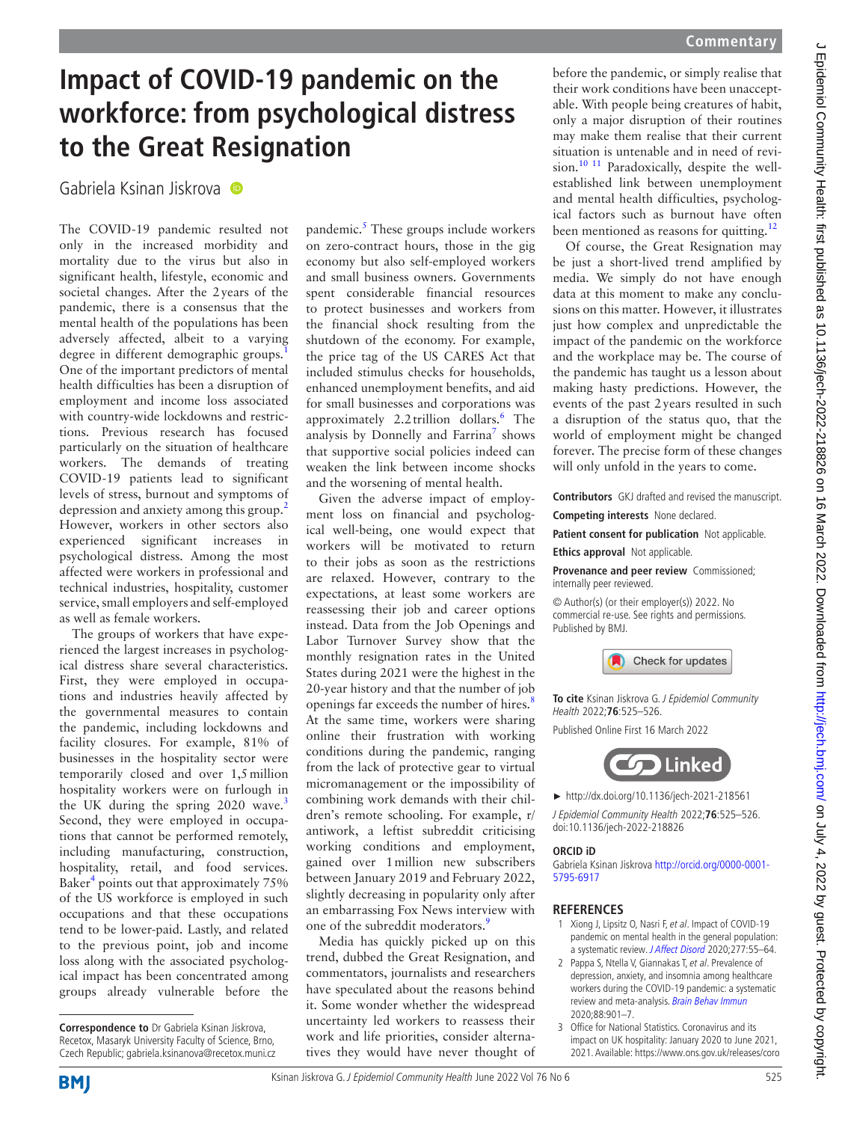## **Impact of COVID-19 pandemic on the workforce: from psychological distress to the Great Resignation**

Gabriela Ksinan Jiskrova <sup>O</sup>

The COVID-19 pandemic resulted not only in the increased morbidity and mortality due to the virus but also in significant health, lifestyle, economic and societal changes. After the 2years of the pandemic, there is a consensus that the mental health of the populations has been adversely affected, albeit to a varying degree in different demographic groups.<sup>[1](#page-0-0)</sup> One of the important predictors of mental health difficulties has been a disruption of employment and income loss associated with country-wide lockdowns and restrictions. Previous research has focused particularly on the situation of healthcare workers. The demands of treating COVID-19 patients lead to significant levels of stress, burnout and symptoms of depression and anxiety among this group.[2](#page-0-1) However, workers in other sectors also experienced significant increases in psychological distress. Among the most affected were workers in professional and technical industries, hospitality, customer service, small employers and self-employed as well as female workers.

The groups of workers that have experienced the largest increases in psychological distress share several characteristics. First, they were employed in occupations and industries heavily affected by the governmental measures to contain the pandemic, including lockdowns and facility closures. For example, 81% of businesses in the hospitality sector were temporarily closed and over 1,5million hospitality workers were on furlough in the UK during the spring 2020 wave.<sup>[3](#page-0-2)</sup> Second, they were employed in occupations that cannot be performed remotely, including manufacturing, construction, hospitality, retail, and food services. Baker<sup>4</sup> points out that approximately 75% of the US workforce is employed in such occupations and that these occupations tend to be lower-paid. Lastly, and related to the previous point, job and income loss along with the associated psychological impact has been concentrated among groups already vulnerable before the

pandemic.<sup>5</sup> These groups include workers on zero-contract hours, those in the gig economy but also self-employed workers and small business owners. Governments spent considerable financial resources to protect businesses and workers from the financial shock resulting from the shutdown of the economy. For example, the price tag of the US CARES Act that included stimulus checks for households, enhanced unemployment benefits, and aid for small businesses and corporations was approximately 2.2 trillion dollars.<sup>[6](#page-1-2)</sup> The analysis by Donnelly and Farrina<sup>7</sup> shows that supportive social policies indeed can weaken the link between income shocks and the worsening of mental health.

Given the adverse impact of employment loss on financial and psychological well-being, one would expect that workers will be motivated to return to their jobs as soon as the restrictions are relaxed. However, contrary to the expectations, at least some workers are reassessing their job and career options instead. Data from the Job Openings and Labor Turnover Survey show that the monthly resignation rates in the United States during 2021 were the highest in the 20-year history and that the number of job openings far exceeds the number of hires.<sup>[8](#page-1-4)</sup> At the same time, workers were sharing online their frustration with working conditions during the pandemic, ranging from the lack of protective gear to virtual micromanagement or the impossibility of combining work demands with their children's remote schooling. For example, r/ antiwork, a leftist subreddit criticising working conditions and employment, gained over 1million new subscribers between January 2019 and February 2022, slightly decreasing in popularity only after an embarrassing Fox News interview with one of the subreddit moderators.<sup>[9](#page-1-5)</sup>

Media has quickly picked up on this trend, dubbed the Great Resignation, and commentators, journalists and researchers have speculated about the reasons behind it. Some wonder whether the widespread uncertainty led workers to reassess their work and life priorities, consider alternatives they would have never thought of before the pandemic, or simply realise that their work conditions have been unacceptable. With people being creatures of habit, only a major disruption of their routines may make them realise that their current situation is untenable and in need of revision.<sup>10 11</sup> Paradoxically, despite the wellestablished link between unemployment and mental health difficulties, psychological factors such as burnout have often been mentioned as reasons for quitting.<sup>12</sup>

Of course, the Great Resignation may be just a short-lived trend amplified by media. We simply do not have enough data at this moment to make any conclusions on this matter. However, it illustrates just how complex and unpredictable the impact of the pandemic on the workforce and the workplace may be. The course of the pandemic has taught us a lesson about making hasty predictions. However, the events of the past 2years resulted in such a disruption of the status quo, that the world of employment might be changed forever. The precise form of these changes will only unfold in the years to come.

**Contributors** GKJ drafted and revised the manuscript. **Competing interests** None declared.

**Patient consent for publication** Not applicable. **Ethics approval** Not applicable.

**Provenance and peer review** Commissioned; internally peer reviewed.

© Author(s) (or their employer(s)) 2022. No commercial re-use. See rights and permissions. Published by BMJ.



**To cite** Ksinan Jiskrova G. J Epidemiol Community Health 2022;**76**:525–526.

Published Online First 16 March 2022



► <http://dx.doi.org/10.1136/jech-2021-218561>

J Epidemiol Community Health 2022;**76**:525–526. doi:10.1136/jech-2022-218826

## **ORCID iD**

Gabriela Ksinan Jiskrova [http://orcid.org/0000-0001-](http://orcid.org/0000-0001-5795-6917) [5795-6917](http://orcid.org/0000-0001-5795-6917)

## **REFERENCES**

- <span id="page-0-0"></span>1 Xiong J, Lipsitz O, Nasri F, et al. Impact of COVID-19 pandemic on mental health in the general population: a systematic review. [J Affect Disord](http://dx.doi.org/10.1016/j.jad.2020.08.001) 2020;277:55–64.
- <span id="page-0-1"></span>2 Pappa S, Ntella V, Giannakas T, et al. Prevalence of depression, anxiety, and insomnia among healthcare workers during the COVID-19 pandemic: a systematic review and meta-analysis. [Brain Behav Immun](http://dx.doi.org/10.1016/j.bbi.2020.05.026) 2020;88:901–7.
- <span id="page-0-2"></span>3 Office for National Statistics. Coronavirus and its impact on UK hospitality: January 2020 to June 2021, 2021. Available: [https://www.ons.gov.uk/releases/coro](https://www.ons.gov.uk/releases/coronavirusanditsimpactonukhospitalityjanuary2020tojune2021)

**Correspondence to** Dr Gabriela Ksinan Jiskrova, Recetox, Masaryk University Faculty of Science, Brno, Czech Republic; gabriela.ksinanova@recetox.muni.cz